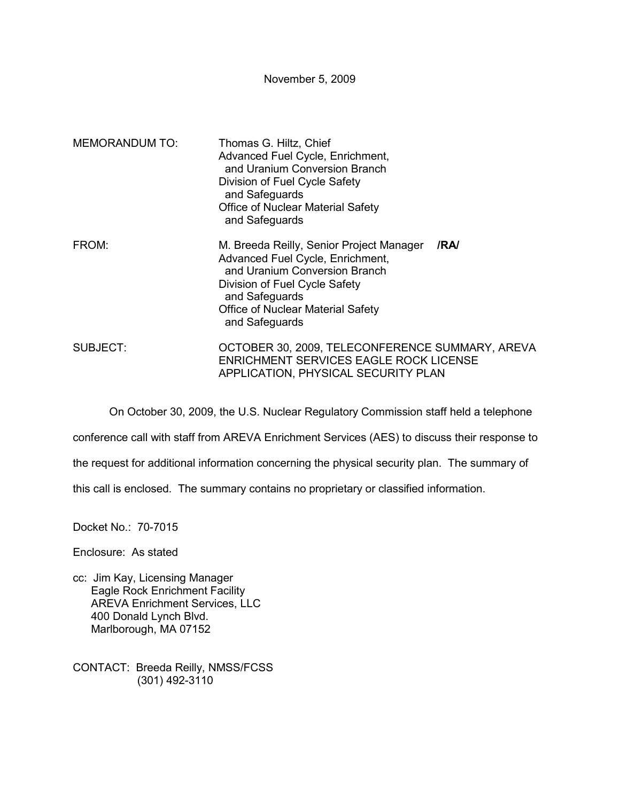November 5, 2009

| <b>MEMORANDUM TO:</b> | Thomas G. Hiltz, Chief<br>Advanced Fuel Cycle, Enrichment,<br>and Uranium Conversion Branch<br>Division of Fuel Cycle Safety<br>and Safeguards<br><b>Office of Nuclear Material Safety</b><br>and Safeguards                           |  |
|-----------------------|----------------------------------------------------------------------------------------------------------------------------------------------------------------------------------------------------------------------------------------|--|
| FROM:                 | /RA/<br>M. Breeda Reilly, Senior Project Manager<br>Advanced Fuel Cycle, Enrichment,<br>and Uranium Conversion Branch<br>Division of Fuel Cycle Safety<br>and Safeguards<br><b>Office of Nuclear Material Safety</b><br>and Safeguards |  |
| SUBJECT:              | OCTOBER 30, 2009, TELECONFERENCE SUMMARY, AREVA<br><b>ENRICHMENT SERVICES EAGLE ROCK LICENSE</b><br>APPLICATION, PHYSICAL SECURITY PLAN                                                                                                |  |

On October 30, 2009, the U.S. Nuclear Regulatory Commission staff held a telephone

conference call with staff from AREVA Enrichment Services (AES) to discuss their response to

the request for additional information concerning the physical security plan. The summary of

this call is enclosed. The summary contains no proprietary or classified information.

Docket No.: 70-7015

Enclosure: As stated

- cc: Jim Kay, Licensing Manager Eagle Rock Enrichment Facility AREVA Enrichment Services, LLC 400 Donald Lynch Blvd. Marlborough, MA 07152
- CONTACT: Breeda Reilly, NMSS/FCSS (301) 492-3110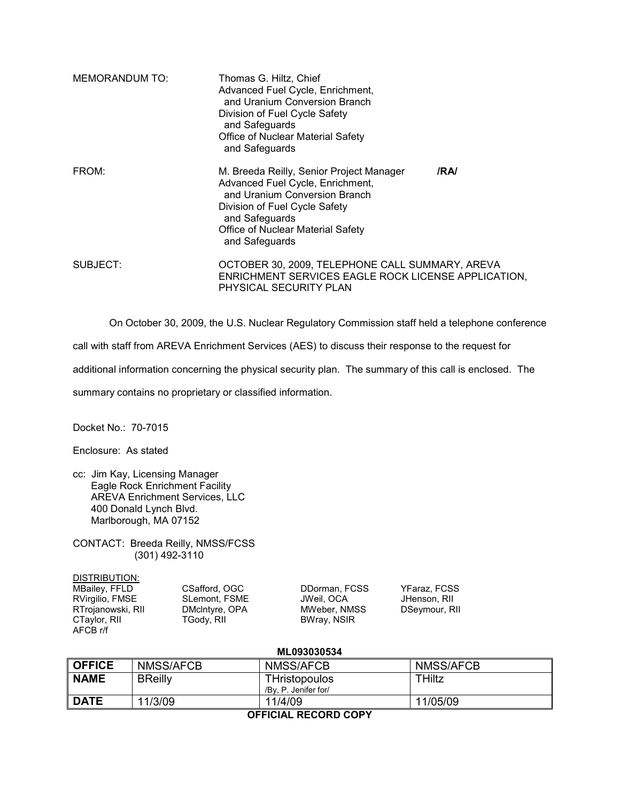| MEMORANDUM TO: | Thomas G. Hiltz, Chief<br>Advanced Fuel Cycle, Enrichment,<br>and Uranium Conversion Branch<br>Division of Fuel Cycle Safety<br>and Safeguards<br><b>Office of Nuclear Material Safety</b><br>and Safeguards                   |      |
|----------------|--------------------------------------------------------------------------------------------------------------------------------------------------------------------------------------------------------------------------------|------|
| FROM:          | M. Breeda Reilly, Senior Project Manager<br>Advanced Fuel Cycle, Enrichment,<br>and Uranium Conversion Branch<br>Division of Fuel Cycle Safety<br>and Safeguards<br><b>Office of Nuclear Material Safety</b><br>and Safeguards | /RA/ |
| SUBJECT:       | OCTOBER 30, 2009, TELEPHONE CALL SUMMARY, AREVA<br>ENRICHMENT SERVICES EAGLE ROCK LICENSE APPLICATION,<br>PHYSICAL SECURITY PLAN                                                                                               |      |

On October 30, 2009, the U.S. Nuclear Regulatory Commission staff held a telephone conference

call with staff from AREVA Enrichment Services (AES) to discuss their response to the request for

additional information concerning the physical security plan. The summary of this call is enclosed. The

summary contains no proprietary or classified information.

Docket No.: 70-7015

Enclosure: As stated

- cc: Jim Kay, Licensing Manager Eagle Rock Enrichment Facility AREVA Enrichment Services, LLC 400 Donald Lynch Blvd. Marlborough, MA 07152
- CONTACT: Breeda Reilly, NMSS/FCSS (301) 492-3110

| DISTRIBUTION:        |  |
|----------------------|--|
| <b>MBailey, FFLD</b> |  |
| RVirgilio, FMSE      |  |
| RTrojanowski, RII    |  |
| CTaylor, RII         |  |
| AFCB r/f             |  |

CSafford, OGC **DDorman, FCSS** YFaraz, FCSS<br>SLemont, FSME JWeil, OCA JHenson, RII

CSAITOR, OGC BRIGG, DUORMAN, FCSS PRAIZ, FCSS<br>SLemont, FSME JWeil, OCA JHenson, RII<br>DMcIntyre, OPA MWeber, NMSS DSeymour, RII DMcIntyre, OPA MWeber, NMSS<br>TGody, RII BWray, NSIR BWray, NSIR

## **ML093030534**

| <b>OFFICE</b>               | NMSS/AFCB      | NMSS/AFCB                                    | NMSS/AFCB |  |  |
|-----------------------------|----------------|----------------------------------------------|-----------|--|--|
| <b>NAME</b>                 | <b>BReilly</b> | <b>THristopoulos</b><br>/By. P. Jenifer for/ | THiltz    |  |  |
| <b>DATE</b>                 | 11/3/09        | 11/4/09                                      | 11/05/09  |  |  |
| <b>AFFICIAL BECABB CABY</b> |                |                                              |           |  |  |

## **OFFICIAL RECORD COPY**